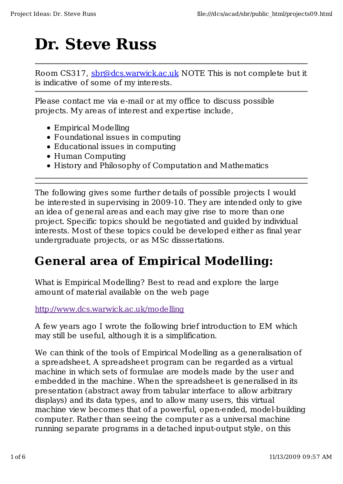# **Dr. Steve Russ**

Room CS317, sbr@dcs.warwick.ac.uk NOTE This is not complete but it is indicative of some of my interests.

Please contact me via e-mail or at my office to discuss possible projects. My areas of interest and expertise include,

- Empirical Modelling
- Foundational issues in computing
- Educational issues in computing
- Human Computing
- History and Philosophy of Computation and Mathematics

The following gives some further details of possible projects I would be interested in supervising in 2009-10. They are intended only to give an idea of general areas and each may give rise to more than one project. Specific topics should be negotiated and guided by individual interests. Most of these topics could be developed either as final year undergraduate projects, or as MSc disssertations.

## **General area of Empirical Modelling:**

What is Empirical Modelling? Best to read and explore the large amount of material available on the web page

http://www.dcs.warwick.ac.uk/modelling

A few years ago I wrote the following brief introduction to EM which may still be useful, although it is a simplification.

We can think of the tools of Empirical Modelling as a generalisation of a spreadsheet. A spreadsheet program can be regarded as a virtual machine in which sets of formulae are models made by the user and embedded in the machine. When the spreadsheet is generalised in its presentation (abstract away from tabular interface to allow arbitrary displays) and its data types, and to allow many users, this virtual machine view becomes that of a powerful, open-ended, model-building computer. Rather than seeing the computer as a universal machine running separate programs in a detached input-output style, on this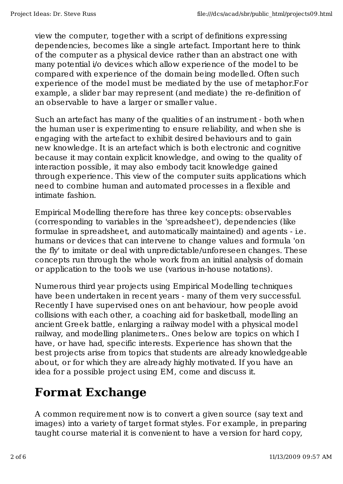view the computer, together with a script of definitions expressing dependencies, becomes like a single artefact. Important here to think of the computer as a physical device rather than an abstract one with many potential i/o devices which allow experience of the model to be compared with experience of the domain being modelled. Often such experience of the model must be mediated by the use of metaphor.For example, a slider bar may represent (and mediate) the re-definition of an observable to have a larger or smaller value.

Such an artefact has many of the qualities of an instrument - both when the human user is experimenting to ensure reliability, and when she is engaging with the artefact to exhibit desired behaviours and to gain new knowledge. It is an artefact which is both electronic and cognitive because it may contain explicit knowledge, and owing to the quality of interaction possible, it may also embody tacit knowledge gained through experience. This view of the computer suits applications which need to combine human and automated processes in a flexible and intimate fashion.

Empirical Modelling therefore has three key concepts: observables (corresponding to variables in the 'spreadsheet'), dependencies (like formulae in spreadsheet, and automatically maintained) and agents - i.e. humans or devices that can intervene to change values and formula 'on the fly' to imitate or deal with unpredictable/unforeseen changes. These concepts run through the whole work from an initial analysis of domain or application to the tools we use (various in-house notations).

Numerous third year projects using Empirical Modelling techniques have been undertaken in recent years - many of them very successful. Recently I have supervised ones on ant behaviour, how people avoid collisions with each other, a coaching aid for basketball, modelling an ancient Greek battle, enlarging a railway model with a physical model railway, and modelling planimeters.. Ones below are topics on which I have, or have had, specific interests. Experience has shown that the best projects arise from topics that students are already knowledgeable about, or for which they are already highly motivated. If you have an idea for a possible project using EM, come and discuss it.

#### **Format Exchange**

A common requirement now is to convert a given source (say text and images) into a variety of target format styles. For example, in preparing taught course material it is convenient to have a version for hard copy,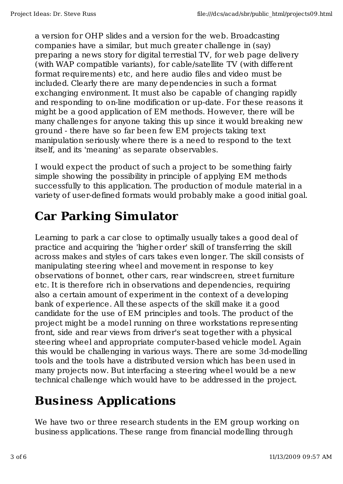a version for OHP slides and a version for the web. Broadcasting companies have a similar, but much greater challenge in (say) preparing a news story for digital terrestial TV, for web page delivery (with WAP compatible variants), for cable/satellite TV (with different format requirements) etc, and here audio files and video must be included. Clearly there are many dependencies in such a format exchanging environment. It must also be capable of changing rapidly and responding to on-line modification or up-date. For these reasons it might be a good application of EM methods. However, there will be many challenges for anyone taking this up since it would breaking new ground - there have so far been few EM projects taking text manipulation seriously where there is a need to respond to the text itself, and its 'meaning' as separate observables.

I would expect the product of such a project to be something fairly simple showing the possibility in principle of applying EM methods successfully to this application. The production of module material in a variety of user-defined formats would probably make a good initial goal.

### **Car Parking Simulator**

Learning to park a car close to optimally usually takes a good deal of practice and acquiring the 'higher order' skill of transferring the skill across makes and styles of cars takes even longer. The skill consists of manipulating steering wheel and movement in response to key observations of bonnet, other cars, rear windscreen, street furniture etc. It is therefore rich in observations and dependencies, requiring also a certain amount of experiment in the context of a developing bank of experience. All these aspects of the skill make it a good candidate for the use of EM principles and tools. The product of the project might be a model running on three workstations representing front, side and rear views from driver's seat together with a physical steering wheel and appropriate computer-based vehicle model. Again this would be challenging in various ways. There are some 3d-modelling tools and the tools have a distributed version which has been used in many projects now. But interfacing a steering wheel would be a new technical challenge which would have to be addressed in the project.

# **Business Applications**

We have two or three research students in the EM group working on business applications. These range from financial modelling through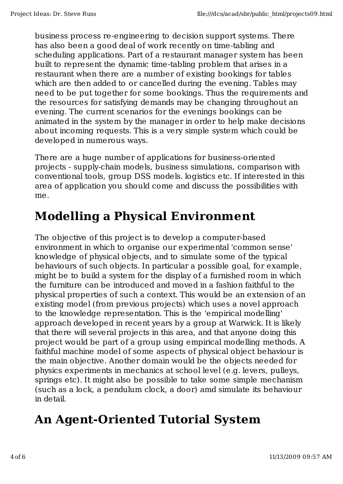business process re-engineering to decision support systems. There has also been a good deal of work recently on time-tabling and scheduling applications. Part of a restaurant manager system has been built to represent the dynamic time-tabling problem that arises in a restaurant when there are a number of existing bookings for tables which are then added to or cancelled during the evening. Tables may need to be put together for some bookings. Thus the requirements and the resources for satisfying demands may be changing throughout an evening. The current scenarios for the evenings bookings can be animated in the system by the manager in order to help make decisions about incoming requests. This is a very simple system which could be developed in numerous ways.

There are a huge number of applications for business-oriented projects - supply-chain models, business simulations, comparison with conventional tools, group DSS models. logistics etc. If interested in this area of application you should come and discuss the possibilities with me.

#### **Modelling a Physical Environment**

The objective of this project is to develop a computer-based environment in which to organise our experimental 'common sense' knowledge of physical objects, and to simulate some of the typical behaviours of such objects. In particular a possible goal, for example, might be to build a system for the display of a furnished room in which the furniture can be introduced and moved in a fashion faithful to the physical properties of such a context. This would be an extension of an existing model (from previous projects) which uses a novel approach to the knowledge representation. This is the 'empirical modelling' approach developed in recent years by a group at Warwick. It is likely that there will several projects in this area, and that anyone doing this project would be part of a group using empirical modelling methods. A faithful machine model of some aspects of physical object behaviour is the main objective. Another domain would be the objects needed for physics experiments in mechanics at school level (e.g. levers, pulleys, springs etc). It might also be possible to take some simple mechanism (such as a lock, a pendulum clock, a door) amd simulate its behaviour in detail.

# **An Agent-Oriented Tutorial System**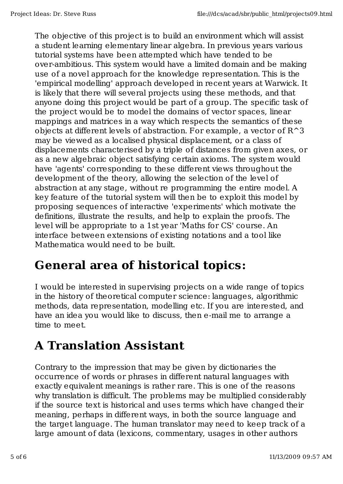The objective of this project is to build an environment which will assist a student learning elementary linear algebra. In previous years various tutorial systems have been attempted which have tended to be over-ambitious. This system would have a limited domain and be making use of a novel approach for the knowledge representation. This is the 'empirical modelling' approach developed in recent years at Warwick. It is likely that there will several projects using these methods, and that anyone doing this project would be part of a group. The specific task of the project would be to model the domains of vector spaces, linear mappings and matrices in a way which respects the semantics of these objects at different levels of abstraction. For example, a vector of R^3 may be viewed as a localised physical displacement, or a class of displacements characterised by a triple of distances from given axes, or as a new algebraic object satisfying certain axioms. The system would have 'agents' corresponding to these different views throughout the development of the theory, allowing the selection of the level of abstraction at any stage, without re programming the entire model. A key feature of the tutorial system will then be to exploit this model by proposing sequences of interactive 'experiments' which motivate the definitions, illustrate the results, and help to explain the proofs. The level will be appropriate to a 1st year 'Maths for CS' course. An interface between extensions of existing notations and a tool like Mathematica would need to be built.

#### **General area of historical topics:**

I would be interested in supervising projects on a wide range of topics in the history of theoretical computer science: languages, algorithmic methods, data representation, modelling etc. If you are interested, and have an idea you would like to discuss, then e-mail me to arrange a time to meet.

# **A Translation Assistant**

Contrary to the impression that may be given by dictionaries the occurrence of words or phrases in different natural languages with exactly equivalent meanings is rather rare. This is one of the reasons why translation is difficult. The problems may be multiplied considerably if the source text is historical and uses terms which have changed their meaning, perhaps in different ways, in both the source language and the target language. The human translator may need to keep track of a large amount of data (lexicons, commentary, usages in other authors